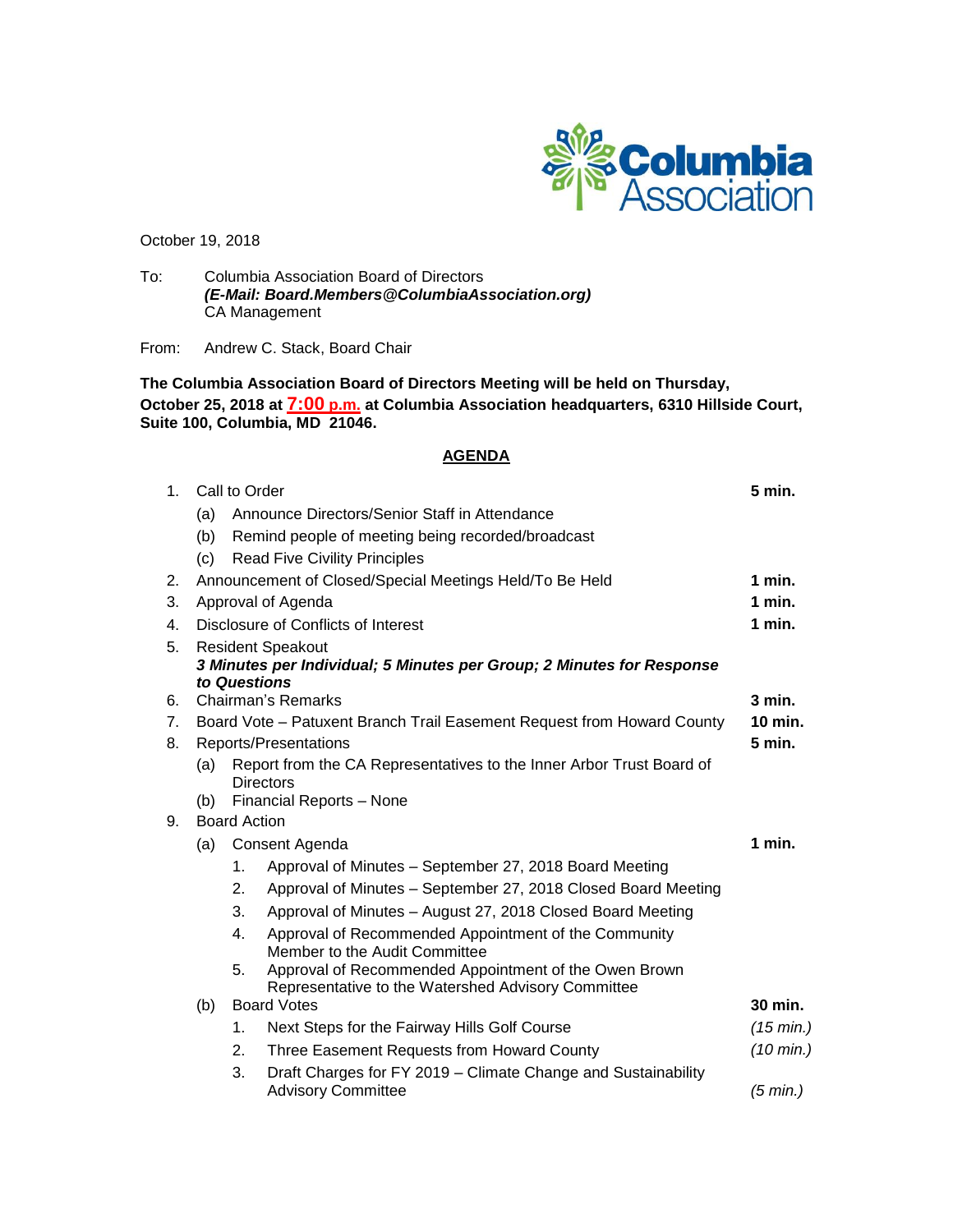

October 19, 2018

To: Columbia Association Board of Directors *(E-Mail: Board.Members@ColumbiaAssociation.org)* CA Management

From: Andrew C. Stack, Board Chair

**The Columbia Association Board of Directors Meeting will be held on Thursday, October 25, 2018 at 7:00 p.m. at Columbia Association headquarters, 6310 Hillside Court, Suite 100, Columbia, MD 21046.**

### **AGENDA**

| 1 <sub>1</sub> | Call to Order                                                                         |                                                                                                         |                                                                                                             |                     |  |  |
|----------------|---------------------------------------------------------------------------------------|---------------------------------------------------------------------------------------------------------|-------------------------------------------------------------------------------------------------------------|---------------------|--|--|
|                | (a)                                                                                   |                                                                                                         | Announce Directors/Senior Staff in Attendance                                                               |                     |  |  |
|                | (b)                                                                                   |                                                                                                         | Remind people of meeting being recorded/broadcast                                                           |                     |  |  |
|                | (c)                                                                                   |                                                                                                         | <b>Read Five Civility Principles</b>                                                                        |                     |  |  |
| 2.             |                                                                                       |                                                                                                         | Announcement of Closed/Special Meetings Held/To Be Held                                                     | 1 min.              |  |  |
| 3.             |                                                                                       |                                                                                                         | Approval of Agenda                                                                                          | $1$ min.            |  |  |
| 4.             |                                                                                       | Disclosure of Conflicts of Interest<br>1 min.                                                           |                                                                                                             |                     |  |  |
| 5.             | <b>Resident Speakout</b>                                                              |                                                                                                         |                                                                                                             |                     |  |  |
|                | 3 Minutes per Individual; 5 Minutes per Group; 2 Minutes for Response<br>to Questions |                                                                                                         |                                                                                                             |                     |  |  |
| 6.             |                                                                                       |                                                                                                         |                                                                                                             | $3$ min.            |  |  |
| $7_{\cdot}$    |                                                                                       | Chairman's Remarks<br>10 min.<br>Board Vote - Patuxent Branch Trail Easement Request from Howard County |                                                                                                             |                     |  |  |
| 8.             | Reports/Presentations                                                                 |                                                                                                         |                                                                                                             |                     |  |  |
|                | (a)                                                                                   | 5 min.<br>Report from the CA Representatives to the Inner Arbor Trust Board of<br><b>Directors</b>      |                                                                                                             |                     |  |  |
|                | (b)                                                                                   | Financial Reports - None                                                                                |                                                                                                             |                     |  |  |
| 9.             | <b>Board Action</b>                                                                   |                                                                                                         |                                                                                                             |                     |  |  |
|                | Consent Agenda<br>(a)                                                                 |                                                                                                         |                                                                                                             |                     |  |  |
|                |                                                                                       | 1.                                                                                                      | Approval of Minutes - September 27, 2018 Board Meeting                                                      |                     |  |  |
|                |                                                                                       | 2.                                                                                                      | Approval of Minutes - September 27, 2018 Closed Board Meeting                                               |                     |  |  |
|                |                                                                                       | 3.                                                                                                      | Approval of Minutes - August 27, 2018 Closed Board Meeting                                                  |                     |  |  |
|                |                                                                                       | 4.                                                                                                      | Approval of Recommended Appointment of the Community<br>Member to the Audit Committee                       |                     |  |  |
|                |                                                                                       | 5.                                                                                                      | Approval of Recommended Appointment of the Owen Brown<br>Representative to the Watershed Advisory Committee |                     |  |  |
|                | (b)                                                                                   | <b>Board Votes</b>                                                                                      |                                                                                                             |                     |  |  |
|                |                                                                                       | 1.                                                                                                      | Next Steps for the Fairway Hills Golf Course                                                                | $(15 \text{ min.})$ |  |  |
|                |                                                                                       | 2.                                                                                                      | Three Easement Requests from Howard County                                                                  | $(10 \text{ min.})$ |  |  |
|                |                                                                                       | 3.                                                                                                      | Draft Charges for FY 2019 – Climate Change and Sustainability<br><b>Advisory Committee</b>                  | (5 min.)            |  |  |